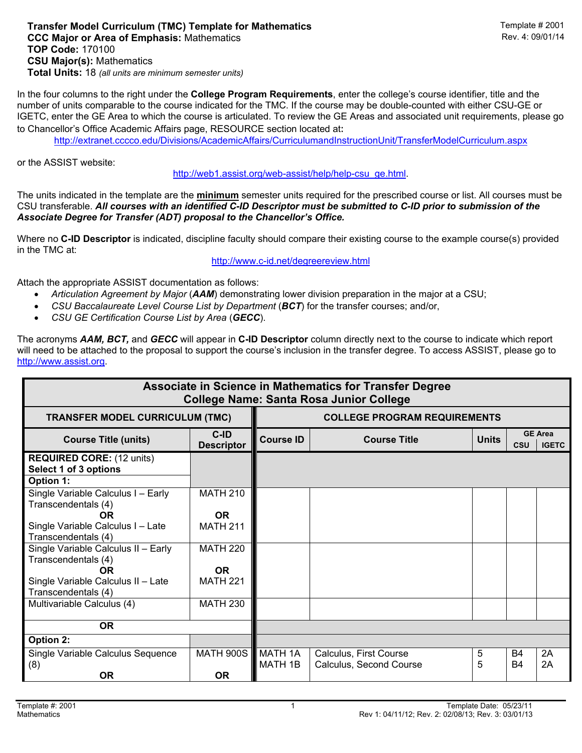## **Transfer Model Curriculum (TMC) Template for Mathematics <b>Transfer Model Curriculum (TMC) Template # 2001**<br>CCC Maior or Area of Emphasis: Mathematics **CCC Mathematics** Rev. 4: 09/01/14 **CCC Major or Area of Emphasis: Mathematics Rev. 2: 09. TOP Code:** 170100 **CSU Major(s):** Mathematics **Total Units:** 18 *(all units are minimum semester units)*

In the four columns to the right under the **College Program Requirements**, enter the college's course identifier, title and the number of units comparable to the course indicated for the TMC. If the course may be double-counted with either CSU-GE or IGETC, enter the GE Area to which the course is articulated. To review the GE Areas and associated unit requirements, please go to Chancellor's Office Academic Affairs page, RESOURCE section located at:

http://extranet.cccco.edu/Divisions/AcademicAffairs/CurriculumandInstructionUnit/TransferModelCurriculum.aspx

or the ASSIST website:

http://web1.assist.org/web-assist/help/help-csu\_ge.html.

The units indicated in the template are the **minimum** semester units required for the prescribed course or list. All courses must be CSU transferable. *All courses with an identified C-ID Descriptor must be submitted to C-ID prior to submission of the Associate Degree for Transfer (ADT) proposal to the Chancellor's Office.*

Where no **C-ID Descriptor** is indicated, discipline faculty should compare their existing course to the example course(s) provided in the TMC at:

http://www.c-id.net/degreereview.html

Attach the appropriate ASSIST documentation as follows:

- *Articulation Agreement by Major* (*AAM*) demonstrating lower division preparation in the major at a CSU;
- *CSU Baccalaureate Level Course List by Department* (*BCT*) for the transfer courses; and/or,
- *CSU GE Certification Course List by Area* (*GECC*).

The acronyms *AAM, BCT,* and *GECC* will appear in **C-ID Descriptor** column directly next to the course to indicate which report will need to be attached to the proposal to support the course's inclusion in the transfer degree. To access ASSIST, please go to http://www.assist.org.

| <b>Associate in Science in Mathematics for Transfer Degree</b><br><b>College Name: Santa Rosa Junior College</b> |                           |                                     |                                                   |              |                             |                                |  |  |  |  |  |
|------------------------------------------------------------------------------------------------------------------|---------------------------|-------------------------------------|---------------------------------------------------|--------------|-----------------------------|--------------------------------|--|--|--|--|--|
| <b>TRANSFER MODEL CURRICULUM (TMC)</b>                                                                           |                           | <b>COLLEGE PROGRAM REQUIREMENTS</b> |                                                   |              |                             |                                |  |  |  |  |  |
| <b>Course Title (units)</b>                                                                                      | C-ID<br><b>Descriptor</b> | <b>Course ID</b>                    | <b>Course Title</b>                               | <b>Units</b> | <b>CSU</b>                  | <b>GE Area</b><br><b>IGETC</b> |  |  |  |  |  |
| <b>REQUIRED CORE: (12 units)</b><br>Select 1 of 3 options<br>Option 1:                                           |                           |                                     |                                                   |              |                             |                                |  |  |  |  |  |
| Single Variable Calculus I - Early<br>Transcendentals (4)<br><b>OR</b>                                           | <b>MATH 210</b><br>OR.    |                                     |                                                   |              |                             |                                |  |  |  |  |  |
| Single Variable Calculus I - Late<br>Transcendentals (4)                                                         | <b>MATH 211</b>           |                                     |                                                   |              |                             |                                |  |  |  |  |  |
| Single Variable Calculus II - Early<br>Transcendentals (4)<br>OR.                                                | <b>MATH 220</b><br>OR.    |                                     |                                                   |              |                             |                                |  |  |  |  |  |
| Single Variable Calculus II - Late<br>Transcendentals (4)                                                        | <b>MATH 221</b>           |                                     |                                                   |              |                             |                                |  |  |  |  |  |
| Multivariable Calculus (4)                                                                                       | <b>MATH 230</b>           |                                     |                                                   |              |                             |                                |  |  |  |  |  |
| <b>OR</b>                                                                                                        |                           |                                     |                                                   |              |                             |                                |  |  |  |  |  |
| Option 2:                                                                                                        |                           |                                     |                                                   |              |                             |                                |  |  |  |  |  |
| Single Variable Calculus Sequence<br>(8)                                                                         | <b>MATH 900S</b>          | MATH 1A<br>MATH 1B                  | Calculus, First Course<br>Calculus, Second Course | 5<br>5       | B <sub>4</sub><br><b>B4</b> | 2A<br>2A                       |  |  |  |  |  |
| OR.                                                                                                              | <b>OR</b>                 |                                     |                                                   |              |                             |                                |  |  |  |  |  |